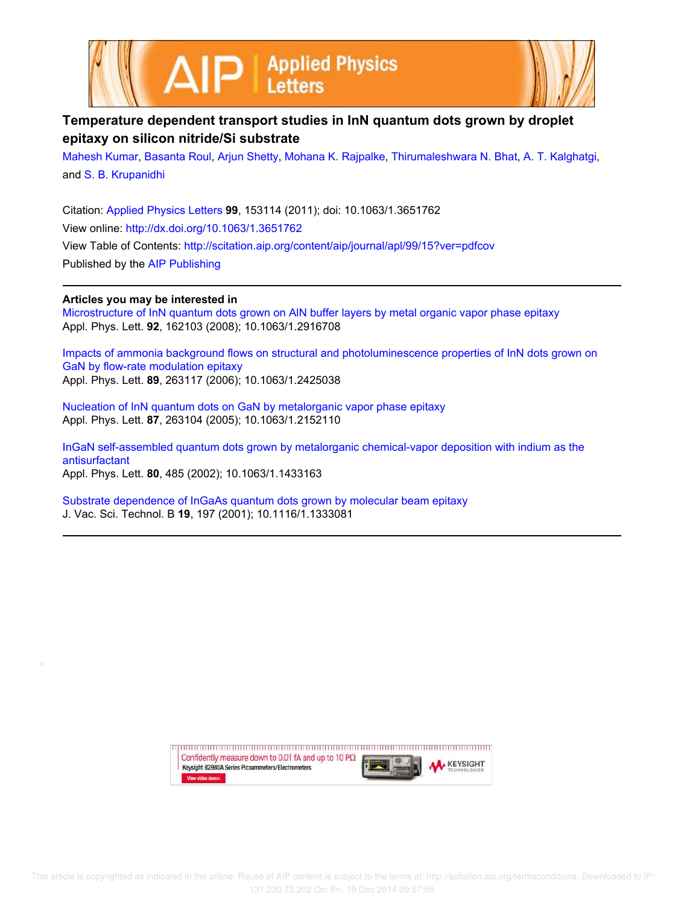



## **Temperature dependent transport studies in InN quantum dots grown by droplet epitaxy on silicon nitride/Si substrate**

Mahesh Kumar, Basanta Roul, Arjun Shetty, Mohana K. Rajpalke, Thirumaleshwara N. Bhat, A. T. Kalghatgi, and S. B. Krupanidhi

Citation: Applied Physics Letters **99**, 153114 (2011); doi: 10.1063/1.3651762 View online: http://dx.doi.org/10.1063/1.3651762 View Table of Contents: http://scitation.aip.org/content/aip/journal/apl/99/15?ver=pdfcov Published by the AIP Publishing

## **Articles you may be interested in**

Microstructure of InN quantum dots grown on AlN buffer layers by metal organic vapor phase epitaxy Appl. Phys. Lett. **92**, 162103 (2008); 10.1063/1.2916708

Impacts of ammonia background flows on structural and photoluminescence properties of InN dots grown on GaN by flow-rate modulation epitaxy Appl. Phys. Lett. **89**, 263117 (2006); 10.1063/1.2425038

Nucleation of InN quantum dots on GaN by metalorganic vapor phase epitaxy Appl. Phys. Lett. **87**, 263104 (2005); 10.1063/1.2152110

InGaN self-assembled quantum dots grown by metalorganic chemical-vapor deposition with indium as the antisurfactant Appl. Phys. Lett. **80**, 485 (2002); 10.1063/1.1433163

Substrate dependence of InGaAs quantum dots grown by molecular beam epitaxy J. Vac. Sci. Technol. B **19**, 197 (2001); 10.1116/1.1333081

> Confidently measure down to 0.01 fA and up to 10  $P\Omega$ **KEYSIGHT** Keysight B2980A Series Picoammeters/Electrometers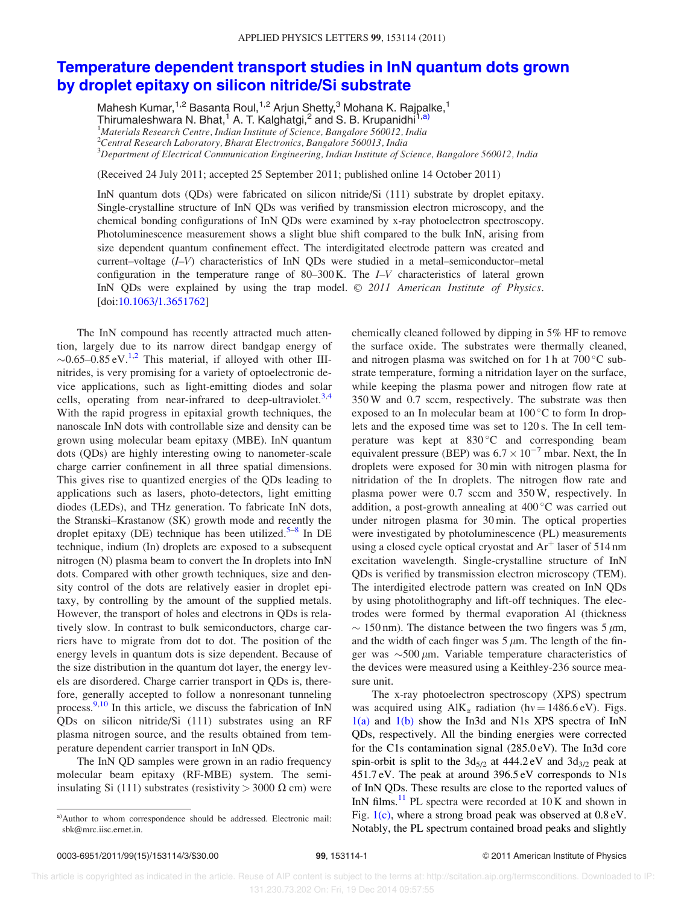## Temperature dependent transport studies in InN quantum dots grown by droplet epitaxy on silicon nitride/Si substrate

Mahesh Kumar,<sup>1,2</sup> Basanta Roul,<sup>1,2</sup> Arjun Shetty,<sup>3</sup> Mohana K. Rajpalke,<sup>1</sup> Thirumaleshwara N. Bhat,<sup>1</sup> A. T. Kalghatgi,<sup>2</sup> and S. B. Krupanidhi<sup>1,a)</sup>  $1$ Materials Research Centre, Indian Institute of Science, Bangalore 560012, India  $^{2}$ Central Research Laboratory, Bharat Electronics, Bangalore 560013, India  ${}^{3}$ Department of Electrical Communication Engineering, Indian Institute of Science, Bangalore 560012, India

(Received 24 July 2011; accepted 25 September 2011; published online 14 October 2011)

InN quantum dots (QDs) were fabricated on silicon nitride/Si (111) substrate by droplet epitaxy. Single-crystalline structure of InN QDs was verified by transmission electron microscopy, and the chemical bonding configurations of InN QDs were examined by x-ray photoelectron spectroscopy. Photoluminescence measurement shows a slight blue shift compared to the bulk InN, arising from size dependent quantum confinement effect. The interdigitated electrode pattern was created and current–voltage (I–V) characteristics of InN QDs were studied in a metal–semiconductor–metal configuration in the temperature range of  $80-300$  K. The  $I-V$  characteristics of lateral grown InN QDs were explained by using the trap model.  $© 2011$  American Institute of Physics. [doi:10.1063/1.3651762]

The InN compound has recently attracted much attention, largely due to its narrow direct bandgap energy of  $\sim 0.65 - 0.85$  eV.<sup>1,2</sup> This material, if alloyed with other IIInitrides, is very promising for a variety of optoelectronic device applications, such as light-emitting diodes and solar cells, operating from near-infrared to deep-ultraviolet.<sup>3,4</sup> With the rapid progress in epitaxial growth techniques, the nanoscale InN dots with controllable size and density can be grown using molecular beam epitaxy (MBE). InN quantum dots (QDs) are highly interesting owing to nanometer-scale charge carrier confinement in all three spatial dimensions. This gives rise to quantized energies of the QDs leading to applications such as lasers, photo-detectors, light emitting diodes (LEDs), and THz generation. To fabricate InN dots, the Stranski–Krastanow (SK) growth mode and recently the droplet epitaxy (DE) technique has been utilized.<sup>5-8</sup> In DE technique, indium (In) droplets are exposed to a subsequent nitrogen (N) plasma beam to convert the In droplets into InN dots. Compared with other growth techniques, size and density control of the dots are relatively easier in droplet epitaxy, by controlling by the amount of the supplied metals. However, the transport of holes and electrons in QDs is relatively slow. In contrast to bulk semiconductors, charge carriers have to migrate from dot to dot. The position of the energy levels in quantum dots is size dependent. Because of the size distribution in the quantum dot layer, the energy levels are disordered. Charge carrier transport in QDs is, therefore, generally accepted to follow a nonresonant tunneling process. $\frac{9,10}{9}$  In this article, we discuss the fabrication of InN QDs on silicon nitride/Si (111) substrates using an RF plasma nitrogen source, and the results obtained from temperature dependent carrier transport in InN QDs.

The InN QD samples were grown in an radio frequency molecular beam epitaxy (RF-MBE) system. The semiinsulating Si (111) substrates (resistivity  $>$  3000  $\Omega$  cm) were chemically cleaned followed by dipping in 5% HF to remove the surface oxide. The substrates were thermally cleaned, and nitrogen plasma was switched on for 1 h at  $700^{\circ}$ C substrate temperature, forming a nitridation layer on the surface, while keeping the plasma power and nitrogen flow rate at 350 W and 0.7 sccm, respectively. The substrate was then exposed to an In molecular beam at  $100\degree$ C to form In droplets and the exposed time was set to 120 s. The In cell temperature was kept at  $830^{\circ}$ C and corresponding beam equivalent pressure (BEP) was  $6.7 \times 10^{-7}$  mbar. Next, the In droplets were exposed for 30 min with nitrogen plasma for nitridation of the In droplets. The nitrogen flow rate and plasma power were 0.7 sccm and 350 W, respectively. In addition, a post-growth annealing at  $400\,^{\circ}\text{C}$  was carried out under nitrogen plasma for 30 min. The optical properties were investigated by photoluminescence (PL) measurements using a closed cycle optical cryostat and  $Ar^+$  laser of 514 nm excitation wavelength. Single-crystalline structure of InN QDs is verified by transmission electron microscopy (TEM). The interdigited electrode pattern was created on InN QDs by using photolithography and lift-off techniques. The electrodes were formed by thermal evaporation Al (thickness  $\sim 150 \text{ nm}$ ). The distance between the two fingers was 5  $\mu$ m, and the width of each finger was  $5 \mu m$ . The length of the finger was  $\sim$ 500  $\mu$ m. Variable temperature characteristics of the devices were measured using a Keithley-236 source measure unit.

The x-ray photoelectron spectroscopy (XPS) spectrum was acquired using  $\text{AlK}_{\alpha}$  radiation (hv = 1486.6 eV). Figs.  $1(a)$  and  $1(b)$  show the In3d and N1s XPS spectra of InN QDs, respectively. All the binding energies were corrected for the C1s contamination signal (285.0 eV). The In3d core spin-orbit is split to the  $3d_{5/2}$  at  $444.2$  eV and  $3d_{3/2}$  peak at 451.7 eV. The peak at around 396.5 eV corresponds to N1s of InN QDs. These results are close to the reported values of InN films.<sup>11</sup> PL spectra were recorded at  $10K$  and shown in Fig. 1(c), where a strong broad peak was observed at 0.8 eV. Notably, the PL spectrum contained broad peaks and slightly

a)Author to whom correspondence should be addressed. Electronic mail: sbk@mrc.iisc.ernet.in.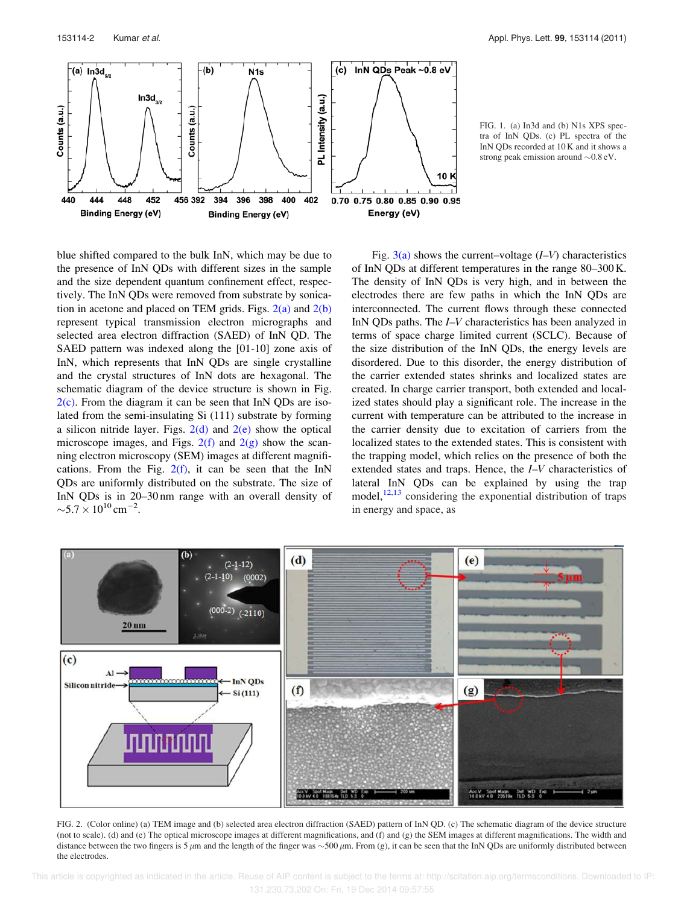

FIG. 1. (a) In3d and (b) N1s XPS spectra of InN QDs. (c) PL spectra of the InN QDs recorded at 10 K and it shows a strong peak emission around  $\sim 0.8 \text{ eV}$ .

blue shifted compared to the bulk InN, which may be due to the presence of InN QDs with different sizes in the sample and the size dependent quantum confinement effect, respectively. The InN QDs were removed from substrate by sonication in acetone and placed on TEM grids. Figs.  $2(a)$  and  $2(b)$ represent typical transmission electron micrographs and selected area electron diffraction (SAED) of InN QD. The SAED pattern was indexed along the [01-10] zone axis of InN, which represents that InN QDs are single crystalline and the crystal structures of InN dots are hexagonal. The schematic diagram of the device structure is shown in Fig.  $2(c)$ . From the diagram it can be seen that InN QDs are isolated from the semi-insulating Si (111) substrate by forming a silicon nitride layer. Figs.  $2(d)$  and  $2(e)$  show the optical microscope images, and Figs.  $2(f)$  and  $2(g)$  show the scanning electron microscopy (SEM) images at different magnifications. From the Fig.  $2(f)$ , it can be seen that the InN QDs are uniformly distributed on the substrate. The size of InN QDs is in 20–30 nm range with an overall density of  $\sim$ 5.7  $\times$  10<sup>10</sup> cm<sup>-2</sup>.

Fig.  $3(a)$  shows the current–voltage  $(I-V)$  characteristics of InN QDs at different temperatures in the range 80–300 K. The density of InN QDs is very high, and in between the electrodes there are few paths in which the InN QDs are interconnected. The current flows through these connected InN QDs paths. The *I–V* characteristics has been analyzed in terms of space charge limited current (SCLC). Because of the size distribution of the InN QDs, the energy levels are disordered. Due to this disorder, the energy distribution of the carrier extended states shrinks and localized states are created. In charge carrier transport, both extended and localized states should play a significant role. The increase in the current with temperature can be attributed to the increase in the carrier density due to excitation of carriers from the localized states to the extended states. This is consistent with the trapping model, which relies on the presence of both the extended states and traps. Hence, the I–V characteristics of lateral InN QDs can be explained by using the trap model, $12,13$  considering the exponential distribution of traps in energy and space, as



FIG. 2. (Color online) (a) TEM image and (b) selected area electron diffraction (SAED) pattern of InN QD. (c) The schematic diagram of the device structure (not to scale). (d) and (e) The optical microscope images at different magnifications, and (f) and (g) the SEM images at different magnifications. The width and distance between the two fingers is 5  $\mu$ m and the length of the finger was  $\sim$ 500  $\mu$ m. From (g), it can be seen that the InN QDs are uniformly distributed between the electrodes.

 This article is copyrighted as indicated in the article. Reuse of AIP content is subject to the terms at: http://scitation.aip.org/termsconditions. Downloaded to IP: 131.230.73.202 On: Fri, 19 Dec 2014 09:57:55